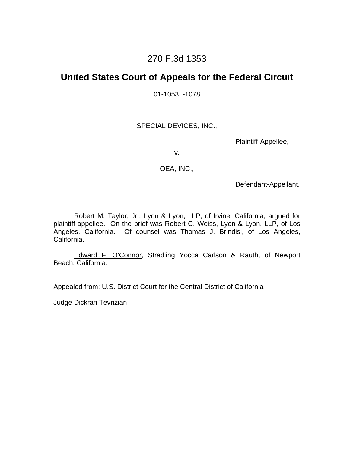## 270 F.3d 1353

### **United States Court of Appeals for the Federal Circuit**

01-1053, -1078

SPECIAL DEVICES, INC.,

Plaintiff-Appellee,

v.

OEA, INC.,

Defendant-Appellant.

 Robert M. Taylor, Jr., Lyon & Lyon, LLP, of Irvine, California, argued for plaintiff-appellee. On the brief was Robert C. Weiss, Lyon & Lyon, LLP, of Los Angeles, California. Of counsel was Thomas J. Brindisi, of Los Angeles, California.

 Edward F. O'Connor, Stradling Yocca Carlson & Rauth, of Newport Beach, California.

Appealed from: U.S. District Court for the Central District of California

Judge Dickran Tevrizian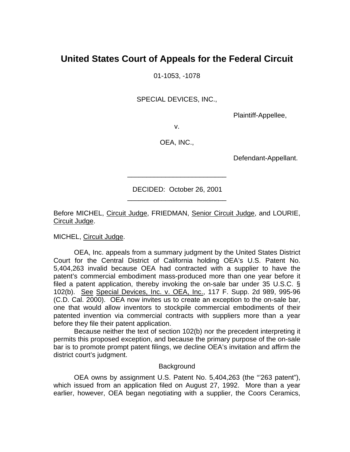# **United States Court of Appeals for the Federal Circuit**

01-1053, -1078

SPECIAL DEVICES, INC.,

Plaintiff-Appellee,

v.

OEA, INC.,

Defendant-Appellant.

 DECIDED: October 26, 2001 \_\_\_\_\_\_\_\_\_\_\_\_\_\_\_\_\_\_\_\_\_\_\_\_\_\_

\_\_\_\_\_\_\_\_\_\_\_\_\_\_\_\_\_\_\_\_\_\_\_\_\_\_

Before MICHEL, Circuit Judge, FRIEDMAN, Senior Circuit Judge, and LOURIE, Circuit Judge.

MICHEL, Circuit Judge.

OEA, Inc. appeals from a summary judgment by the United States District Court for the Central District of California holding OEA's U.S. Patent No. 5,404,263 invalid because OEA had contracted with a supplier to have the patent's commercial embodiment mass-produced more than one year before it filed a patent application, thereby invoking the on-sale bar under 35 U.S.C. § 102(b). See Special Devices, Inc. v. OEA, Inc., 117 F. Supp. 2d 989, 995-96 (C.D. Cal. 2000). OEA now invites us to create an exception to the on-sale bar, one that would allow inventors to stockpile commercial embodiments of their patented invention via commercial contracts with suppliers more than a year before they file their patent application.

Because neither the text of section 102(b) nor the precedent interpreting it permits this proposed exception, and because the primary purpose of the on-sale bar is to promote prompt patent filings, we decline OEA's invitation and affirm the district court's judgment.

#### **Background**

 OEA owns by assignment U.S. Patent No. 5,404,263 (the "'263 patent"), which issued from an application filed on August 27, 1992. More than a year earlier, however, OEA began negotiating with a supplier, the Coors Ceramics,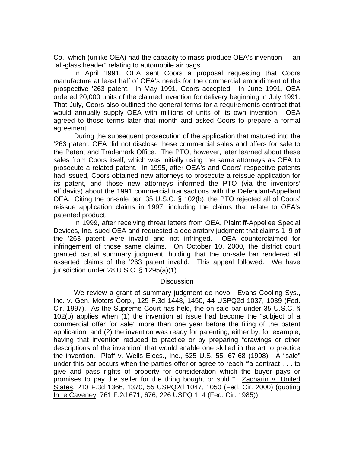Co., which (unlike OEA) had the capacity to mass-produce OEA's invention — an "all-glass header" relating to automobile air bags.

In April 1991, OEA sent Coors a proposal requesting that Coors manufacture at least half of OEA's needs for the commercial embodiment of the prospective '263 patent. In May 1991, Coors accepted. In June 1991, OEA ordered 20,000 units of the claimed invention for delivery beginning in July 1991. That July, Coors also outlined the general terms for a requirements contract that would annually supply OEA with millions of units of its own invention. OEA agreed to those terms later that month and asked Coors to prepare a formal agreement.

 During the subsequent prosecution of the application that matured into the '263 patent, OEA did not disclose these commercial sales and offers for sale to the Patent and Trademark Office. The PTO, however, later learned about these sales from Coors itself, which was initially using the same attorneys as OEA to prosecute a related patent. In 1995, after OEA's and Coors' respective patents had issued, Coors obtained new attorneys to prosecute a reissue application for its patent, and those new attorneys informed the PTO (via the inventors' affidavits) about the 1991 commercial transactions with the Defendant-Appellant OEA. Citing the on-sale bar, 35 U.S.C. § 102(b), the PTO rejected all of Coors' reissue application claims in 1997, including the claims that relate to OEA's patented product.

 In 1999, after receiving threat letters from OEA, Plaintiff-Appellee Special Devices, Inc. sued OEA and requested a declaratory judgment that claims 1–9 of the '263 patent were invalid and not infringed. OEA counterclaimed for infringement of those same claims. On October 10, 2000, the district court granted partial summary judgment, holding that the on-sale bar rendered all asserted claims of the '263 patent invalid. This appeal followed. We have jurisdiction under 28 U.S.C. § 1295(a)(1).

#### **Discussion**

 We review a grant of summary judgment de novo. Evans Cooling Sys., Inc. v. Gen. Motors Corp., 125 F.3d 1448, 1450, 44 USPQ2d 1037, 1039 (Fed. Cir. 1997). As the Supreme Court has held, the on-sale bar under 35 U.S.C. § 102(b) applies when (1) the invention at issue had become the "subject of a commercial offer for sale" more than one year before the filing of the patent application; and (2) the invention was ready for patenting, either by, for example, having that invention reduced to practice or by preparing "drawings or other descriptions of the invention" that would enable one skilled in the art to practice the invention. Pfaff v. Wells Elecs., Inc., 525 U.S. 55, 67-68 (1998). A "sale" under this bar occurs when the parties offer or agree to reach "'a contract . . . to give and pass rights of property for consideration which the buyer pays or promises to pay the seller for the thing bought or sold.'" Zacharin v. United States, 213 F.3d 1366, 1370, 55 USPQ2d 1047, 1050 (Fed. Cir. 2000) (quoting In re Caveney, 761 F.2d 671, 676, 226 USPQ 1, 4 (Fed. Cir. 1985)).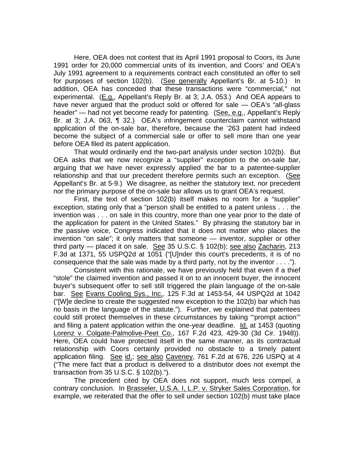Here, OEA does not contest that its April 1991 proposal to Coors, its June 1991 order for 20,000 commercial units of its invention, and Coors' and OEA's July 1991 agreement to a requirements contract each constituted an offer to sell for purposes of section 102(b). (See generally Appellant's Br. at 5-10.) In addition, OEA has conceded that these transactions were "commercial," not experimental. (E.g., Appellant's Reply Br. at 3; J.A. 053.) And OEA appears to have never argued that the product sold or offered for sale — OEA's "all-glass header" — had not yet become ready for patenting. (See, e.g., Appellant's Reply Br. at 3; J.A. 063, ¶ 32.) OEA's infringement counterclaim cannot withstand application of the on-sale bar, therefore, because the '263 patent had indeed become the subject of a commercial sale or offer to sell more than one year before OEA filed its patent application.

That would ordinarily end the two-part analysis under section 102(b). But OEA asks that we now recognize a "supplier" exception to the on-sale bar, arguing that we have never expressly applied the bar to a patentee-supplier relationship and that our precedent therefore permits such an exception. (See Appellant's Br. at 5-9.) We disagree, as neither the statutory text, nor precedent nor the primary purpose of the on-sale bar allows us to grant OEA's request.

First, the text of section 102(b) itself makes no room for a "supplier" exception, stating only that a "person shall be entitled to a patent unless . . . the invention was . . . on sale in this country, more than one year prior to the date of the application for patent in the United States." By phrasing the statutory bar in the passive voice, Congress indicated that it does not matter who places the invention "on sale"; it only matters that someone — inventor, supplier or other third party — placed it on sale. See 35 U.S.C. § 102(b); see also Zacharin, 213 F.3d at 1371, 55 USPQ2d at 1051 ("[U]nder this court's precedents, it is of no consequence that the sale was made by a third party, not by the inventor . . . .").

Consistent with this rationale, we have previously held that even if a thief "stole" the claimed invention and passed it on to an innocent buyer, the innocent buyer's subsequent offer to sell still triggered the plain language of the on-sale bar. See Evans Cooling Sys., Inc., 125 F.3d at 1453-54, 44 USPQ2d at 1042 ("[W]e decline to create the suggested new exception to the 102(b) bar which has no basis in the language of the statute."). Further, we explained that patentees could still protect themselves in these circumstances by taking "'prompt action'" and filing a patent application within the one-year deadline. Id. at 1453 (quoting Lorenz v. Colgate-Palmolive-Peet Co., 167 F.2d 423, 429-30 (3d Cir. 1948)). Here, OEA could have protected itself in the same manner, as its contractual relationship with Coors certainly provided no obstacle to a timely patent application filing. See id.; see also Caveney, 761 F.2d at 676, 226 USPQ at 4 ("The mere fact that a product is delivered to a distributor does not exempt the transaction from 35 U.S.C. § 102(b).").

 The precedent cited by OEA does not support, much less compel, a contrary conclusion. In Brasseler, U.S.A. I, L.P. v. Stryker Sales Corporation, for example, we reiterated that the offer to sell under section 102(b) must take place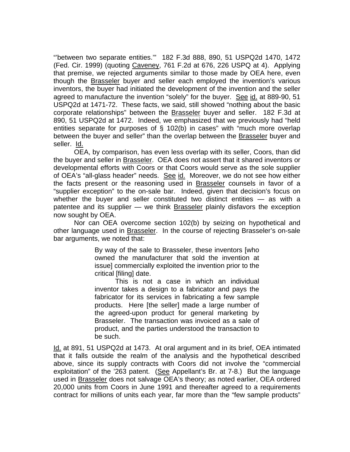"'between two separate entities.'" 182 F.3d 888, 890, 51 USPQ2d 1470, 1472 (Fed. Cir. 1999) (quoting Caveney, 761 F.2d at 676, 226 USPQ at 4). Applying that premise, we rejected arguments similar to those made by OEA here, even though the Brasseler buyer and seller each employed the invention's various inventors, the buyer had initiated the development of the invention and the seller agreed to manufacture the invention "solely" for the buyer. See id. at 889-90, 51 USPQ2d at 1471-72. These facts, we said, still showed "nothing about the basic corporate relationships" between the Brasseler buyer and seller. 182 F.3d at 890, 51 USPQ2d at 1472. Indeed, we emphasized that we previously had "held entities separate for purposes of § 102(b) in cases" with "much more overlap between the buyer and seller" than the overlap between the Brasseler buyer and seller. Id.

 OEA, by comparison, has even less overlap with its seller, Coors, than did the buyer and seller in Brasseler. OEA does not assert that it shared inventors or developmental efforts with Coors or that Coors would serve as the sole supplier of OEA's "all-glass header" needs. See id. Moreover, we do not see how either the facts present or the reasoning used in Brasseler counsels in favor of a "supplier exception" to the on-sale bar. Indeed, given that decision's focus on whether the buyer and seller constituted two distinct entities — as with a patentee and its supplier — we think Brasseler plainly disfavors the exception now sought by OEA.

 Nor can OEA overcome section 102(b) by seizing on hypothetical and other language used in Brasseler. In the course of rejecting Brasseler's on-sale bar arguments, we noted that:

> By way of the sale to Brasseler, these inventors [who owned the manufacturer that sold the invention at issue] commercially exploited the invention prior to the critical [filing] date.

> This is not a case in which an individual inventor takes a design to a fabricator and pays the fabricator for its services in fabricating a few sample products. Here [the seller] made a large number of the agreed-upon product for general marketing by Brasseler. The transaction was invoiced as a sale of product, and the parties understood the transaction to be such.

Id. at 891, 51 USPQ2d at 1473. At oral argument and in its brief, OEA intimated that it falls outside the realm of the analysis and the hypothetical described above, since its supply contracts with Coors did not involve the "commercial exploitation" of the '263 patent. (See Appellant's Br. at 7-8.) But the language used in Brasseler does not salvage OEA's theory; as noted earlier, OEA ordered 20,000 units from Coors in June 1991 and thereafter agreed to a requirements contract for millions of units each year, far more than the "few sample products"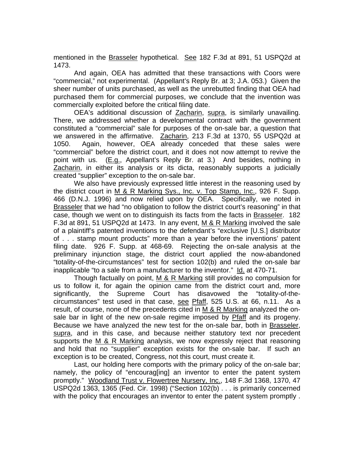mentioned in the Brasseler hypothetical. See 182 F.3d at 891, 51 USPQ2d at 1473.

And again, OEA has admitted that these transactions with Coors were "commercial," not experimental. (Appellant's Reply Br. at 3; J.A. 053.) Given the sheer number of units purchased, as well as the unrebutted finding that OEA had purchased them for commercial purposes, we conclude that the invention was commercially exploited before the critical filing date.

 OEA's additional discussion of Zacharin, supra, is similarly unavailing. There, we addressed whether a developmental contract with the government constituted a "commercial" sale for purposes of the on-sale bar, a question that we answered in the affirmative. Zacharin, 213 F.3d at 1370, 55 USPQ2d at 1050. Again, however, OEA already conceded that these sales were "commercial" before the district court, and it does not now attempt to revive the point with us. (E.g., Appellant's Reply Br. at 3.) And besides, nothing in Zacharin, in either its analysis or its dicta, reasonably supports a judicially created "supplier" exception to the on-sale bar.

We also have previously expressed little interest in the reasoning used by the district court in M & R Marking Sys., Inc. v. Top Stamp, Inc., 926 F. Supp. 466 (D.N.J. 1996) and now relied upon by OEA. Specifically, we noted in Brasseler that we had "no obligation to follow the district court's reasoning" in that case, though we went on to distinguish its facts from the facts in Brasseler. 182 F.3d at 891, 51 USPQ2d at 1473. In any event, M & R Marking involved the sale of a plaintiff's patented inventions to the defendant's "exclusive [U.S.] distributor of . . . stamp mount products" more than a year before the inventions' patent filing date. 926 F. Supp. at 468-69. Rejecting the on-sale analysis at the preliminary injunction stage, the district court applied the now-abandoned "totality-of-the-circumstances" test for section 102(b) and ruled the on-sale bar inapplicable "to a sale from a manufacturer to the inventor." Id. at 470-71.

Though factually on point, M & R Marking still provides no compulsion for us to follow it, for again the opinion came from the district court and, more significantly, the Supreme Court has disavowed the "totality-of-thecircumstances" test used in that case, see Pfaff, 525 U.S. at 66, n.11. As a result, of course, none of the precedents cited in  $M$  & R Marking analyzed the onsale bar in light of the new on-sale regime imposed by Pfaff and its progeny. Because we have analyzed the new test for the on-sale bar, both in Brasseler, supra, and in this case, and because neither statutory text nor precedent supports the M & R Marking analysis, we now expressly reject that reasoning and hold that no "supplier" exception exists for the on-sale bar. If such an exception is to be created, Congress, not this court, must create it.

 Last, our holding here comports with the primary policy of the on-sale bar; namely, the policy of "encourag[ing] an inventor to enter the patent system promptly." Woodland Trust v. Flowertree Nursery, Inc., 148 F.3d 1368, 1370, 47 USPQ2d 1363, 1365 (Fed. Cir. 1998) ("Section 102(b) . . . is primarily concerned with the policy that encourages an inventor to enter the patent system promptly.